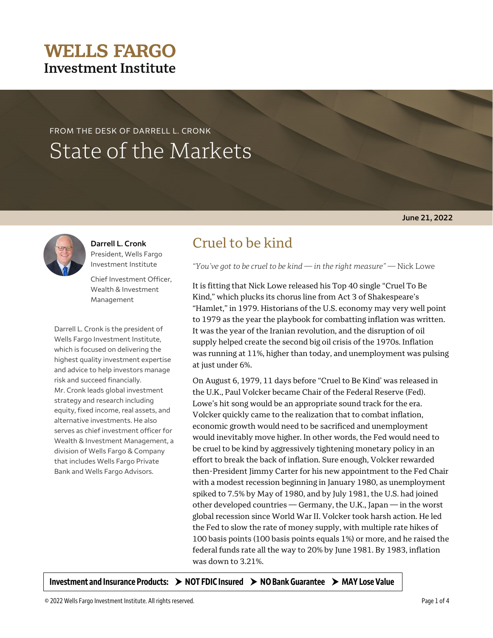## © 2022 Wells Fargo Investment Institute. All rights reserved. Page 1 of 4

## **WELLS FARGO Investment Institute**

# FROM THE DESK OF DARRELL L. CRONK State of the Markets



**Darrell L. Cronk** President, Wells Fargo Investment Institute

Chief Investment Officer, Wealth & Investment Management

Darrell L. Cronk is the president of Wells Fargo Investment Institute, which is focused on delivering the highest quality investment expertise and advice to help investors manage risk and succeed financially. Mr. Cronk leads global investment strategy and research including equity, fixed income, real assets, and alternative investments. He also serves as chief investment officer for Wealth & Investment Management, a division of Wells Fargo & Company that includes Wells Fargo Private Bank and Wells Fargo Advisors.

## Cruel to be kind

*"You've got to be cruel to be kind — in the right measure" —* Nick Lowe

It is fitting that Nick Lowe released his Top 40 single "Cruel To Be Kind," which plucks its chorus line from Act 3 of Shakespeare's "Hamlet," in 1979. Historians of the U.S. economy may very well point to 1979 as the year the playbook for combatting inflation was written. It was the year of the Iranian revolution, and the disruption of oil supply helped create the second big oil crisis of the 1970s. Inflation was running at 11%, higher than today, and unemployment was pulsing at just under 6%.

On August 6, 1979, 11 days before "Cruel to Be Kind' was released in the U.K., Paul Volcker became Chair of the Federal Reserve (Fed). Lowe's hit song would be an appropriate sound track for the era. Volcker quickly came to the realization that to combat inflation, economic growth would need to be sacrificed and unemployment would inevitably move higher. In other words, the Fed would need to be cruel to be kind by aggressively tightening monetary policy in an effort to break the back of inflation. Sure enough, Volcker rewarded then-President Jimmy Carter for his new appointment to the Fed Chair with a modest recession beginning in January 1980, as unemployment spiked to 7.5% by May of 1980, and by July 1981, the U.S. had joined other developed countries — Germany, the U.K., Japan — in the worst global recession since World War II. Volcker took harsh action. He led the Fed to slow the rate of money supply, with multiple rate hikes of 100 basis points (100 basis points equals 1%) or more, and he raised the federal funds rate all the way to 20% by June 1981. By 1983, inflation was down to 3.21%.

Investment and Insurance Products:  $\rightarrow$  NOT FDIC Insured  $\rightarrow$  NO Bank Guarantee  $\rightarrow$  MAY Lose Value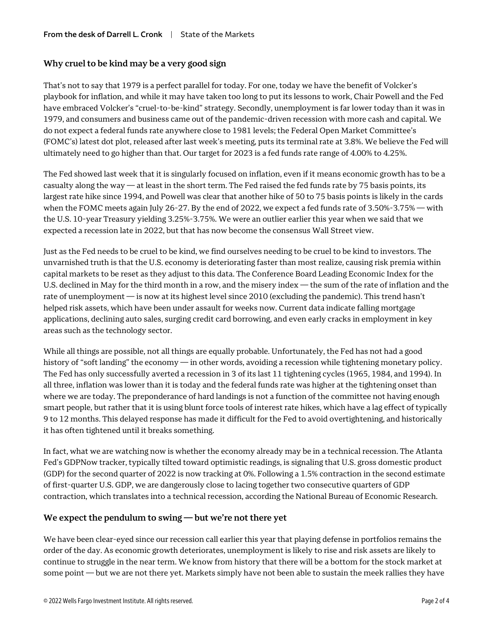### **Why cruel to be kind may be a very good sign**

That's not to say that 1979 is a perfect parallel for today. For one, today we have the benefit of Volcker's playbook for inflation, and while it may have taken too long to put its lessons to work, Chair Powell and the Fed have embraced Volcker's "cruel-to-be-kind" strategy. Secondly, unemployment is far lower today than it was in 1979, and consumers and business came out of the pandemic-driven recession with more cash and capital. We do not expect a federal funds rate anywhere close to 1981 levels; the Federal Open Market Committee's (FOMC's) latest dot plot, released after last week's meeting, puts its terminal rate at 3.8%. We believe the Fed will ultimately need to go higher than that. Our target for 2023 is a fed funds rate range of 4.00% to 4.25%.

The Fed showed last week that it is singularly focused on inflation, even if it means economic growth has to be a casualty along the way — at least in the short term. The Fed raised the fed funds rate by 75 basis points, its largest rate hike since 1994, and Powell was clear that another hike of 50 to 75 basis points is likely in the cards when the FOMC meets again July 26-27. By the end of 2022, we expect a fed funds rate of 3.50%-3.75% — with the U.S. 10-year Treasury yielding 3.25%-3.75%. We were an outlier earlier this year when we said that we expected a recession late in 2022, but that has now become the consensus Wall Street view.

Just as the Fed needs to be cruel to be kind, we find ourselves needing to be cruel to be kind to investors. The unvarnished truth is that the U.S. economy is deteriorating faster than most realize, causing risk premia within capital markets to be reset as they adjust to this data. The Conference Board Leading Economic Index for the U.S. declined in May for the third month in a row, and the misery index — the sum of the rate of inflation and the rate of unemployment — is now at its highest level since 2010 (excluding the pandemic). This trend hasn't helped risk assets, which have been under assault for weeks now. Current data indicate falling mortgage applications, declining auto sales, surging credit card borrowing, and even early cracks in employment in key areas such as the technology sector.

While all things are possible, not all things are equally probable. Unfortunately, the Fed has not had a good history of "soft landing" the economy — in other words, avoiding a recession while tightening monetary policy. The Fed has only successfully averted a recession in 3 of its last 11 tightening cycles (1965, 1984, and 1994). In all three, inflation was lower than it is today and the federal funds rate was higher at the tightening onset than where we are today. The preponderance of hard landings is not a function of the committee not having enough smart people, but rather that it is using blunt force tools of interest rate hikes, which have a lag effect of typically 9 to 12 months. This delayed response has made it difficult for the Fed to avoid overtightening, and historically it has often tightened until it breaks something.

In fact, what we are watching now is whether the economy already may be in a technical recession. The Atlanta Fed's GDPNow tracker, typically tilted toward optimistic readings, is signaling that U.S. gross domestic product (GDP) for the second quarter of 2022 is now tracking at 0%. Following a 1.5% contraction in the second estimate of first-quarter U.S. GDP, we are dangerously close to lacing together two consecutive quarters of GDP contraction, which translates into a technical recession, according the National Bureau of Economic Research.

### **We expect the pendulum to swing — but we're not there yet**

We have been clear-eyed since our recession call earlier this year that playing defense in portfolios remains the order of the day. As economic growth deteriorates, unemployment is likely to rise and risk assets are likely to continue to struggle in the near term. We know from history that there will be a bottom for the stock market at some point — but we are not there yet. Markets simply have not been able to sustain the meek rallies they have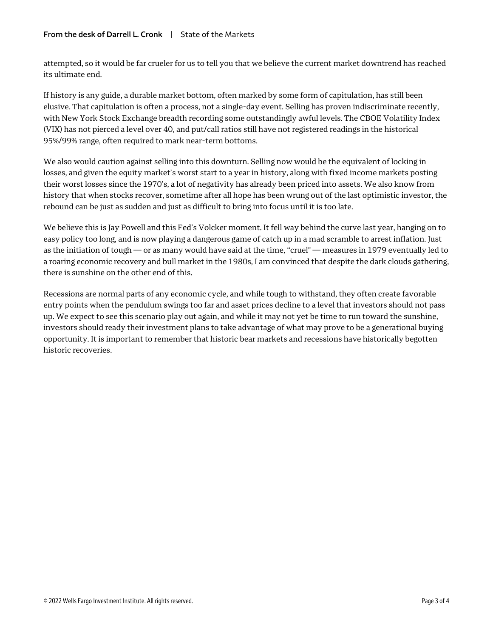attempted, so it would be far crueler for us to tell you that we believe the current market downtrend has reached its ultimate end.

If history is any guide, a durable market bottom, often marked by some form of capitulation, has still been elusive. That capitulation is often a process, not a single-day event. Selling has proven indiscriminate recently, with New York Stock Exchange breadth recording some outstandingly awful levels. The CBOE Volatility Index (VIX) has not pierced a level over 40, and put/call ratios still have not registered readings in the historical 95%/99% range, often required to mark near-term bottoms.

We also would caution against selling into this downturn. Selling now would be the equivalent of locking in losses, and given the equity market's worst start to a year in history, along with fixed income markets posting their worst losses since the 1970's, a lot of negativity has already been priced into assets. We also know from history that when stocks recover, sometime after all hope has been wrung out of the last optimistic investor, the rebound can be just as sudden and just as difficult to bring into focus until it is too late.

We believe this is Jay Powell and this Fed's Volcker moment. It fell way behind the curve last year, hanging on to easy policy too long, and is now playing a dangerous game of catch up in a mad scramble to arrest inflation. Just as the initiation of tough — or as many would have said at the time, "cruel" — measures in 1979 eventually led to a roaring economic recovery and bull market in the 1980s, I am convinced that despite the dark clouds gathering, there is sunshine on the other end of this.

Recessions are normal parts of any economic cycle, and while tough to withstand, they often create favorable entry points when the pendulum swings too far and asset prices decline to a level that investors should not pass up. We expect to see this scenario play out again, and while it may not yet be time to run toward the sunshine, investors should ready their investment plans to take advantage of what may prove to be a generational buying opportunity. It is important to remember that historic bear markets and recessions have historically begotten historic recoveries.